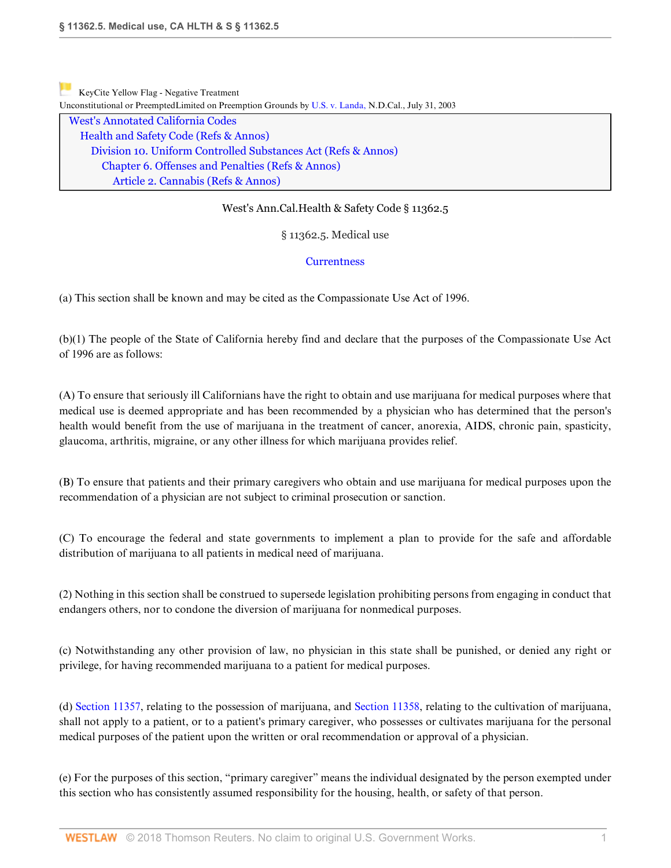[K](https://1.next.westlaw.com/Link/RelatedInformation/Flag?documentGuid=NCDF3F130896811D881E9FEF4A4D44D69&transitionType=Document&originationContext=docHeaderFlag&contextData=(sc.Search) )eyCite Yellow Flag - Negative Treatment Unconstitutional or PreemptedLimited on Preemption Grounds by [U.S. v. Landa,](https://1.next.westlaw.com/Document/I7aa69e13541011d997e0acd5cbb90d3f/View/FullText.html?navigationPath=%2FRelatedInfo%2Fv1%2FkcValidity%2Fnav%3FdocGuid%3DNCDF3F130896811D881E9FEF4A4D44D69%26midlineIndex%3D1%26warningFlag%3Dnull%26planIcons%3Dnull%26skipOutOfPlan%3Dnull%26category%3DkcValidity&listSource=RelatedInfo&list=Validity&rank=1&docFamilyGuid=I4d801d70eb0311d7b049ecc3b772cff6&originationContext=validity&transitionType=NegativeTreatmentItem&contextData=%28sc.Search%29 ) N.D.Cal., July 31, 2003 [West's Annotated California Codes](http://www.westlaw.com/Browse/Home/StatutesCourtRules/CaliforniaStatutesCourtRules?transitionType=DocumentItem&contextData=(sc.Search)&rs=clbt1.0&vr=3.0)

[Health and Safety Code](http://www.westlaw.com/Browse/Home/StatutesCourtRules/CaliforniaStatutesCourtRules?guid=N6EB04D03712E4BE68D71BA4CE0CAB9C9&transitionType=DocumentItem&contextData=(sc.Search)&rs=clbt1.0&vr=3.0) [\(Refs & Annos\)](http://www.westlaw.com/Link/Document/FullText?findType=l&cite=lk(CAHSD)+lk(CAHSM)+lk(CASTERR)&originatingDoc=NCDF3F130896811D881E9FEF4A4D44D69&refType=CM&sourceCite=West%27s+Ann.Cal.Health+%26+Safety+Code+%c2%a7+11362.5&originationContext=document&vr=3.0&rs=cblt1.0&transitionType=DocumentItem&pubNum=1000213&contextData=(sc.Search)) [Division 10. Uniform Controlled Substances Act](http://www.westlaw.com/Browse/Home/StatutesCourtRules/CaliforniaStatutesCourtRules?guid=N461EB50381544038BB194EF27EACC922&transitionType=DocumentItem&contextData=(sc.Search)&rs=clbt1.0&vr=3.0) [\(Refs & Annos\)](http://www.westlaw.com/Link/Document/FullText?findType=l&cite=lk(CAHSD10R)&originatingDoc=NCDF3F130896811D881E9FEF4A4D44D69&refType=CM&sourceCite=West%27s+Ann.Cal.Health+%26+Safety+Code+%c2%a7+11362.5&originationContext=document&vr=3.0&rs=cblt1.0&transitionType=DocumentItem&pubNum=1000213&contextData=(sc.Search)) [Chapter 6. Offenses and Penalties](http://www.westlaw.com/Browse/Home/StatutesCourtRules/CaliforniaStatutesCourtRules?guid=NC12894F2674849ECB88C9140EF3F4BE9&transitionType=DocumentItem&contextData=(sc.Search)&rs=clbt1.0&vr=3.0) [\(Refs & Annos\)](http://www.westlaw.com/Link/Document/FullText?findType=l&cite=lk(CAHSD10C6R)&originatingDoc=NCDF3F130896811D881E9FEF4A4D44D69&refType=CM&sourceCite=West%27s+Ann.Cal.Health+%26+Safety+Code+%c2%a7+11362.5&originationContext=document&vr=3.0&rs=cblt1.0&transitionType=DocumentItem&pubNum=1000213&contextData=(sc.Search)) [Article 2. Cannabis](http://www.westlaw.com/Browse/Home/StatutesCourtRules/CaliforniaStatutesCourtRules?guid=N794FBBD0630E11E78615AB6B6B131AF6&transitionType=DocumentItem&contextData=(sc.Search)&rs=clbt1.0&vr=3.0) [\(Refs & Annos\)](http://www.westlaw.com/Link/Document/FullText?findType=l&cite=lk(CAHSD10C6ART2R)&originatingDoc=NCDF3F130896811D881E9FEF4A4D44D69&refType=CM&sourceCite=West%27s+Ann.Cal.Health+%26+Safety+Code+%c2%a7+11362.5&originationContext=document&vr=3.0&rs=cblt1.0&transitionType=DocumentItem&pubNum=1000213&contextData=(sc.Search))

## West's Ann.Cal.Health & Safety Code § 11362.5

§ 11362.5. Medical use

## **[Currentness](#page-1-0)**

(a) This section shall be known and may be cited as the Compassionate Use Act of 1996.

(b)(1) The people of the State of California hereby find and declare that the purposes of the Compassionate Use Act of 1996 are as follows:

(A) To ensure that seriously ill Californians have the right to obtain and use marijuana for medical purposes where that medical use is deemed appropriate and has been recommended by a physician who has determined that the person's health would benefit from the use of marijuana in the treatment of cancer, anorexia, AIDS, chronic pain, spasticity, glaucoma, arthritis, migraine, or any other illness for which marijuana provides relief.

(B) To ensure that patients and their primary caregivers who obtain and use marijuana for medical purposes upon the recommendation of a physician are not subject to criminal prosecution or sanction.

(C) To encourage the federal and state governments to implement a plan to provide for the safe and affordable distribution of marijuana to all patients in medical need of marijuana.

(2) Nothing in this section shall be construed to supersede legislation prohibiting persons from engaging in conduct that endangers others, nor to condone the diversion of marijuana for nonmedical purposes.

(c) Notwithstanding any other provision of law, no physician in this state shall be punished, or denied any right or privilege, for having recommended marijuana to a patient for medical purposes.

(d) [Section 11357](http://www.westlaw.com/Link/Document/FullText?findType=L&pubNum=1000213&cite=CAHSS11357&originatingDoc=NCDF3F130896811D881E9FEF4A4D44D69&refType=LQ&originationContext=document&vr=3.0&rs=cblt1.0&transitionType=DocumentItem&contextData=(sc.Search)), relating to the possession of marijuana, and [Section 11358,](http://www.westlaw.com/Link/Document/FullText?findType=L&pubNum=1000213&cite=CAHSS11358&originatingDoc=NCDF3F130896811D881E9FEF4A4D44D69&refType=LQ&originationContext=document&vr=3.0&rs=cblt1.0&transitionType=DocumentItem&contextData=(sc.Search)) relating to the cultivation of marijuana, shall not apply to a patient, or to a patient's primary caregiver, who possesses or cultivates marijuana for the personal medical purposes of the patient upon the written or oral recommendation or approval of a physician.

(e) For the purposes of this section, "primary caregiver" means the individual designated by the person exempted under this section who has consistently assumed responsibility for the housing, health, or safety of that person.